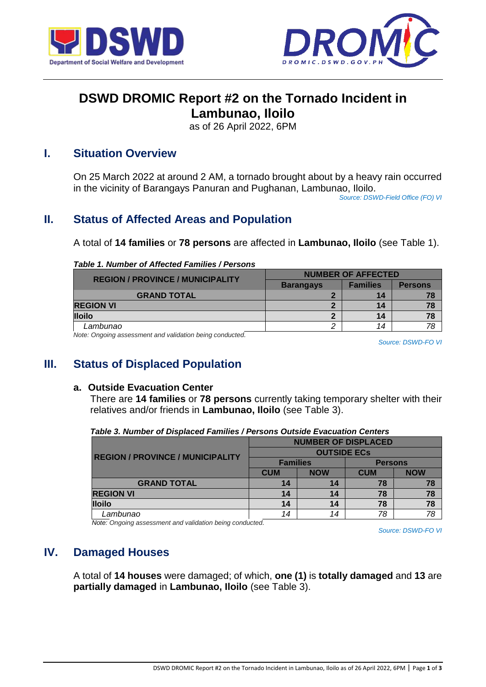



# **DSWD DROMIC Report #2 on the Tornado Incident in**

**Lambunao, Iloilo**

as of 26 April 2022, 6PM

### **I. Situation Overview**

On 25 March 2022 at around 2 AM, a tornado brought about by a heavy rain occurred in the vicinity of Barangays Panuran and Pughanan, Lambunao, Iloilo.

*Source: DSWD-Field Office (FO) VI*

# **II. Status of Affected Areas and Population**

A total of **14 families** or **78 persons** are affected in **Lambunao, Iloilo** (see Table 1).

#### *Table 1. Number of Affected Families / Persons*

| <b>REGION / PROVINCE / MUNICIPALITY</b> | <b>NUMBER OF AFFECTED</b> |                 |                |  |
|-----------------------------------------|---------------------------|-----------------|----------------|--|
|                                         | <b>Barangays</b>          | <b>Families</b> | <b>Persons</b> |  |
| <b>GRAND TOTAL</b>                      |                           | 14              |                |  |
| <b>REGION VI</b>                        |                           | 14              |                |  |
| <b>Iloilo</b>                           |                           | 14              |                |  |
| Lambunao                                |                           | 14              |                |  |

*Note: Ongoing assessment and validation being conducted.* 

*Source: DSWD-FO VI*

## **III. Status of Displaced Population**

#### **a. Outside Evacuation Center**

There are **14 families** or **78 persons** currently taking temporary shelter with their relatives and/or friends in **Lambunao, Iloilo** (see Table 3).

|                                         | <b>NUMBER OF DISPLACED</b> |            |                |            |  |
|-----------------------------------------|----------------------------|------------|----------------|------------|--|
| <b>REGION / PROVINCE / MUNICIPALITY</b> | <b>OUTSIDE ECS</b>         |            |                |            |  |
|                                         | <b>Families</b>            |            | <b>Persons</b> |            |  |
|                                         | <b>CUM</b>                 | <b>NOW</b> | <b>CUM</b>     | <b>NOW</b> |  |
| <b>GRAND TOTAL</b>                      | 14                         | 14         | 78             |            |  |
| <b>REGION VI</b>                        | 14                         | 14         | 78             |            |  |
| <b>Iloilo</b>                           | 14                         | 14         | 78             |            |  |
| Lambunao                                | 14                         | 14         | 78             | 78         |  |

*Table 3. Number of Displaced Families / Persons Outside Evacuation Centers*

*Note: Ongoing assessment and validation being conducted.*

*Source: DSWD-FO VI*

## **IV. Damaged Houses**

A total of **14 houses** were damaged; of which, **one (1)** is **totally damaged** and **13** are **partially damaged** in **Lambunao, Iloilo** (see Table 3).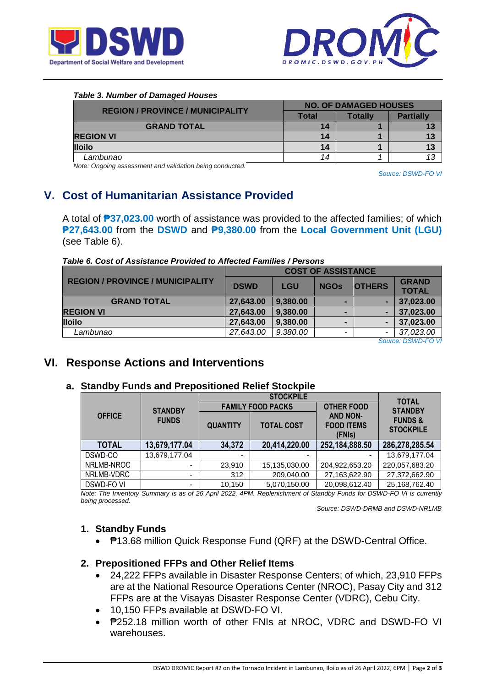



#### *Table 3. Number of Damaged Houses* **REGION / PROVINCE / MUNICIPALITY NO. OF DAMAGED HOUSES Partially GRAND TOTAL** 14 14 13 **REGION VI 14 1 13 Iloilo 14 1 13**  *Lambunao 14 1 13*

*Note: Ongoing assessment and validation being conducted.*

*Source: DSWD-FO VI*

# **V. Cost of Humanitarian Assistance Provided**

A total of **₱37,023.00** worth of assistance was provided to the affected families; of which **₱27,643.00** from the **DSWD** and **₱9,380.00** from the **Local Government Unit (LGU)** (see Table 6).

|  | Table 6. Cost of Assistance Provided to Affected Families / Persons |  |  |
|--|---------------------------------------------------------------------|--|--|
|  |                                                                     |  |  |

| <b>COST OF ASSISTANCE</b> |             |             |  |                                                                                      |
|---------------------------|-------------|-------------|--|--------------------------------------------------------------------------------------|
|                           |             | <b>NGOs</b> |  | <b>GRAND</b>                                                                         |
|                           |             |             |  | <b>TOTAL</b>                                                                         |
| 27,643.00                 | 9,380.00    |             |  | 37,023.00                                                                            |
| 27,643.00                 | 9,380.00    |             |  | 37,023.00                                                                            |
| 27,643.00                 | 9,380.00    |             |  | 37,023.00                                                                            |
| 27,643.00                 | 9,380.00    | ۰           |  | 37,023.00                                                                            |
|                           | <b>DSWD</b> | <b>LGU</b>  |  | <b>OTHERS</b><br>$O2$ $\ldots$ $\ldots$ $\ldots$ $\ldots$ $\ldots$ $\ldots$ $\ldots$ |

*Source: DSWD-FO VI*

### **VI. Response Actions and Interventions**

### **a. Standby Funds and Prepositioned Relief Stockpile**

|               |                | <b>STOCKPILE</b> |                                                                     |                   | <b>TOTAL</b>                           |  |
|---------------|----------------|------------------|---------------------------------------------------------------------|-------------------|----------------------------------------|--|
|               | <b>STANDBY</b> |                  | <b>FAMILY FOOD PACKS</b>                                            | <b>OTHER FOOD</b> | <b>STANDBY</b>                         |  |
| <b>OFFICE</b> | <b>FUNDS</b>   | <b>QUANTITY</b>  | <b>AND NON-</b><br><b>FOOD ITEMS</b><br><b>TOTAL COST</b><br>(FNIs) |                   | <b>FUNDS &amp;</b><br><b>STOCKPILE</b> |  |
| <b>TOTAL</b>  | 13,679,177.04  | 34,372           | 20,414,220.00                                                       | 252,184,888.50    | 286,278,285.54                         |  |
| DSWD-CO       | 13,679,177.04  | -                |                                                                     |                   | 13,679,177.04                          |  |
| NRLMB-NROC    |                | 23,910           | 15,135,030.00                                                       | 204,922,653.20    | 220,057,683.20                         |  |
| NRLMB-VDRC    | -              | 312              | 209,040.00                                                          | 27,163,622.90     | 27,372,662.90                          |  |
| DSWD-FO VI    |                | 10.150           | 5.070.150.00                                                        | 20,098,612.40     | 25,168,762.40                          |  |

*Note: The Inventory Summary is as of 26 April 2022, 4PM. Replenishment of Standby Funds for DSWD-FO VI is currently being processed.*

*Source: DSWD-DRMB and DSWD-NRLMB*

### **1. Standby Funds**

● **P**13.68 million Quick Response Fund (QRF) at the DSWD-Central Office.

### **2. Prepositioned FFPs and Other Relief Items**

- 24,222 FFPs available in Disaster Response Centers; of which, 23,910 FFPs are at the National Resource Operations Center (NROC), Pasay City and 312 FFPs are at the Visayas Disaster Response Center (VDRC), Cebu City.
- 10,150 FFPs available at DSWD-FO VI.
- ₱252.18 million worth of other FNIs at NROC, VDRC and DSWD-FO VI warehouses.